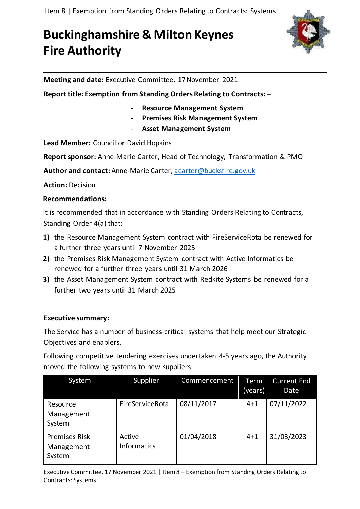# **Buckinghamshire & Milton Keynes Fire Authority**



**Meeting and date:** Executive Committee, 17November 2021

**Report title: Exemption from Standing Orders Relating to Contracts: –**

- **Resource Management System**
- **Premises Risk Management System**
- **Asset Management System**

**Lead Member:** Councillor David Hopkins

**Report sponsor:** Anne-Marie Carter, Head of Technology, Transformation & PMO

**Author and contact:** Anne-Marie Carter, [acarter@bucksfire.gov.uk](mailto:acarter@bucksfire.gov.uk)

**Action:** Decision

#### **Recommendations:**

It is recommended that in accordance with Standing Orders Relating to Contracts, Standing Order 4(a) that:

- **1)** the Resource Management System contract with FireServiceRota be renewed for a further three years until 7 November 2025
- **2)** the Premises Risk Management System contract with Active Informatics be renewed for a further three years until 31 March 2026
- **3)** the Asset Management System contract with Redkite Systems be renewed for a further two years until 31 March 2025

#### **Executive summary:**

The Service has a number of business-critical systems that help meet our Strategic Objectives and enablers.

Following competitive tendering exercises undertaken 4-5 years ago, the Authority moved the following systems to new suppliers:

| System                                       | Supplier                     | Commencement | Term<br>(years) | <b>Current End</b><br>Date |
|----------------------------------------------|------------------------------|--------------|-----------------|----------------------------|
| Resource<br>Management<br>System             | FireServiceRota              | 08/11/2017   | $4 + 1$         | 07/11/2022                 |
| <b>Premises Risk</b><br>Management<br>System | Active<br><b>Informatics</b> | 01/04/2018   | $4 + 1$         | 31/03/2023                 |

Executive Committee, 17 November 2021 | Item 8 – Exemption from Standing Orders Relating to Contracts: Systems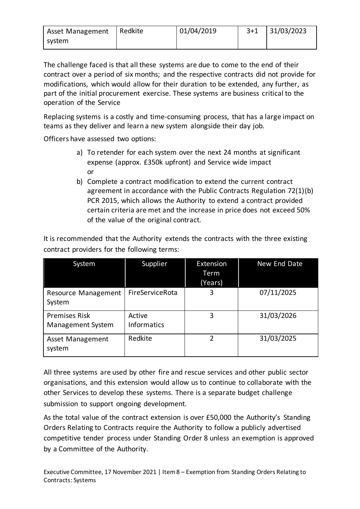| <b>Asset Management</b> | Redkite | 01/04/2019 | $3 + 1$ | 31/03/2023 |
|-------------------------|---------|------------|---------|------------|
| system                  |         |            |         |            |

The challenge faced is that all these systems are due to come to the end of their contract over a period of six months; and the respective contracts did not provide for modifications, which would allow for their duration to be extended, any further, as part of the initial procurement exercise. These systems are business critical to the operation of the Service

Replacing systems is a costly and time-consuming process, that has a large impact on teams as they deliver and learn a new system alongside their day job.

Officers have assessed two options:

- a) To retender for each system over the next 24 months at significant expense (approx. £350k upfront) and Service wide impact or
- b) Complete a contract modification to extend the current contract agreement in accordance with the Public Contracts Regulation 72(1)(b) PCR 2015, which allows the Authority to extend a contract provided certain criteria are met and the increase in price does not exceed 50% of the value of the original contract.

| System                                           | Supplier                     | Extension<br>Term<br>(Years) | New End Date |
|--------------------------------------------------|------------------------------|------------------------------|--------------|
| <b>Resource Management</b><br>System             | FireServiceRota              | 3                            | 07/11/2025   |
| <b>Premises Risk</b><br><b>Management System</b> | Active<br><b>Informatics</b> | 3                            | 31/03/2026   |
| <b>Asset Management</b><br>system                | Redkite                      | $\mathcal{P}$                | 31/03/2025   |

It is recommended that the Authority extends the contracts with the three existing contract providers for the following terms:

All three systems are used by other fire and rescue services and other public sector organisations, and this extension would allow us to continue to collaborate with the other Services to develop these systems. There is a separate budget challenge submission to support ongoing development.

As the total value of the contract extension is over £50,000 the Authority's Standing Orders Relating to Contracts require the Authority to follow a publicly advertised competitive tender process under Standing Order 8 unless an exemption is approved by a Committee of the Authority.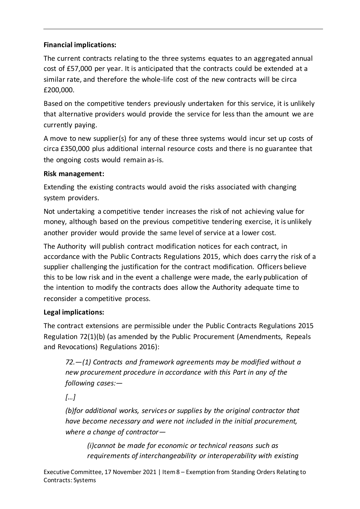## **Financial implications:**

The current contracts relating to the three systems equates to an aggregated annual cost of £57,000 per year. It is anticipated that the contracts could be extended at a similar rate, and therefore the whole-life cost of the new contracts will be circa £200,000.

Based on the competitive tenders previously undertaken for this service, it is unlikely that alternative providers would provide the service for less than the amount we are currently paying.

A move to new supplier(s) for any of these three systems would incur set up costs of circa £350,000 plus additional internal resource costs and there is no guarantee that the ongoing costs would remain as-is.

## **Risk management:**

Extending the existing contracts would avoid the risks associated with changing system providers.

Not undertaking a competitive tender increases the risk of not achieving value for money, although based on the previous competitive tendering exercise, it is unlikely another provider would provide the same level of service at a lower cost.

The Authority will publish contract modification notices for each contract, in accordance with the Public Contracts Regulations 2015, which does carry the risk of a supplier challenging the justification for the contract modification. Officers believe this to be low risk and in the event a challenge were made, the early publication of the intention to modify the contracts does allow the Authority adequate time to reconsider a competitive process.

# **Legal implications:**

The contract extensions are permissible under the Public Contracts Regulations 2015 Regulation 72(1)(b) (as amended by the Public Procurement (Amendments, Repeals and Revocations) Regulations 2016):

*72.—(1) Contracts and framework agreements may be modified without a new procurement procedure in accordance with this Part in any of the following cases:—*

*[…]*

*(b)for additional works, services or supplies by the original contractor that have become necessary and were not included in the initial procurement, where a change of contractor—*

*(i)cannot be made for economic or technical reasons such as requirements of interchangeability or interoperability with existing*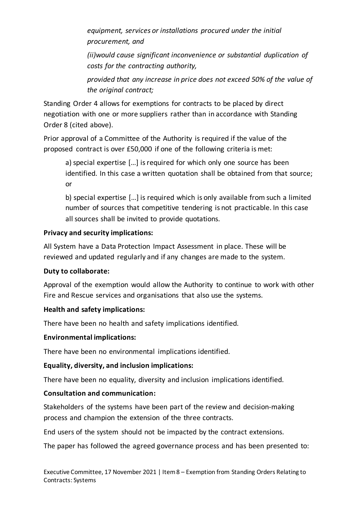*equipment, services or installations procured under the initial procurement, and*

*(ii)would cause significant inconvenience or substantial duplication of costs for the contracting authority,*

*provided that any increase in price does not exceed 50% of the value of the original contract;*

Standing Order 4 allows for exemptions for contracts to be placed by direct negotiation with one or more suppliers rather than in accordance with Standing Order 8 (cited above).

Prior approval of a Committee of the Authority is required if the value of the proposed contract is over £50,000 if one of the following criteria is met:

a) special expertise […] is required for which only one source has been identified. In this case a written quotation shall be obtained from that source; or

b) special expertise […] is required which is only available from such a limited number of sources that competitive tendering is not practicable. In this case all sources shall be invited to provide quotations.

## **Privacy and security implications:**

All System have a Data Protection Impact Assessment in place. These will be reviewed and updated regularly and if any changes are made to the system.

## **Duty to collaborate:**

Approval of the exemption would allow the Authority to continue to work with other Fire and Rescue services and organisations that also use the systems.

# **Health and safety implications:**

There have been no health and safety implications identified.

## **Environmental implications:**

There have been no environmental implications identified.

## **Equality, diversity, and inclusion implications:**

There have been no equality, diversity and inclusion implications identified.

# **Consultation and communication:**

Stakeholders of the systems have been part of the review and decision-making process and champion the extension of the three contracts.

End users of the system should not be impacted by the contract extensions.

The paper has followed the agreed governance process and has been presented to: